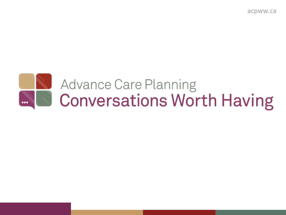acpww.ca

# **Advance Care Planning Conversations Worth Having**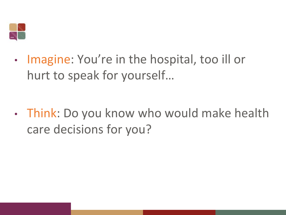

• Imagine: You're in the hospital, too ill or hurt to speak for yourself…

• Think: Do you know who would make health care decisions for you?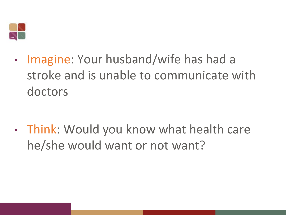

• Imagine: Your husband/wife has had a stroke and is unable to communicate with doctors

• Think: Would you know what health care he/she would want or not want?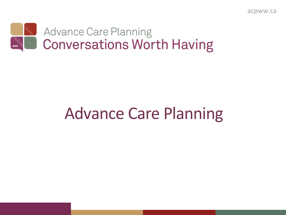acpww.ca

#### **Advance Care Planning** NT. **Conversations Worth Having**

## Advance Care Planning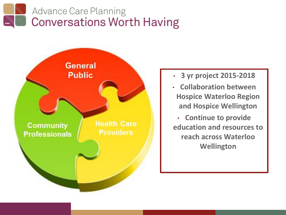



- **3 yr project 2015-2018**
- **Collaboration between Hospice Waterloo Region and Hospice Wellington**
- **Continue to provide education and resources to reach across Waterloo Wellington**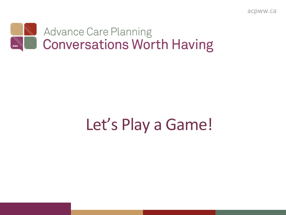acpww.ca

#### **Advance Care Planning** SC **Conversations Worth Having**

## Let's Play a Game!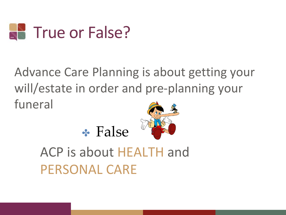

### Advance Care Planning is about getting your will/estate in order and pre-planning your funeral





ACP is about HEALTH and PERSONAL CARE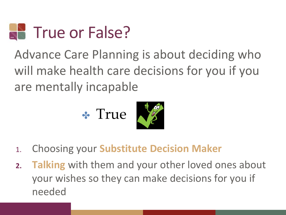

#### Advance Care Planning is about deciding who will make health care decisions for you if you are mentally incapable





- 1. Choosing your **Substitute Decision Maker**
- **2. Talking** with them and your other loved ones about your wishes so they can make decisions for you if needed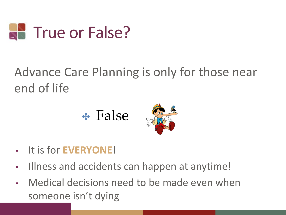

#### Advance Care Planning is only for those near end of life



- It is for **EVERYONE**!
- Illness and accidents can happen at anytime!
- Medical decisions need to be made even when someone isn't dying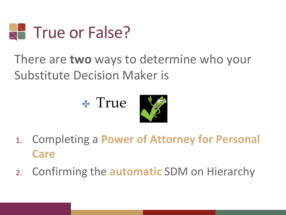

#### There are **two** ways to determine who your Substitute Decision Maker is



- 1. Completing a **Power of Attorney for Personal Care**
- 2. Confirming the **automatic** SDM on Hierarchy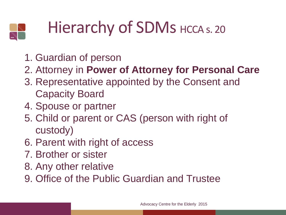# Hierarchy of SDMs HCCA s. 20

- 1. Guardian of person
- 2. Attorney in **Power of Attorney for Personal Care**
- 3. Representative appointed by the Consent and Capacity Board
- 4. Spouse or partner
- 5. Child or parent or CAS (person with right of custody)
- 6. Parent with right of access
- 7. Brother or sister
- 8. Any other relative
- 9. Office of the Public Guardian and Trustee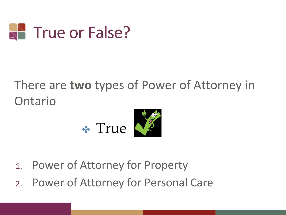

#### There are **two** types of Power of Attorney in Ontario



- 1. Power of Attorney for Property
- 2. Power of Attorney for Personal Care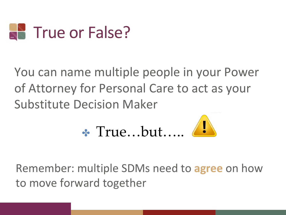

#### You can name multiple people in your Power of Attorney for Personal Care to act as your Substitute Decision Maker

✤ True…but…..

Remember: multiple SDMs need to **agree** on how to move forward together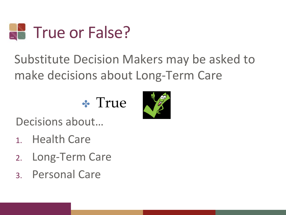

## Substitute Decision Makers may be asked to make decisions about Long-Term Care

## ✤ True



Decisions about…

- 1. Health Care
- 2. Long-Term Care
- 3. Personal Care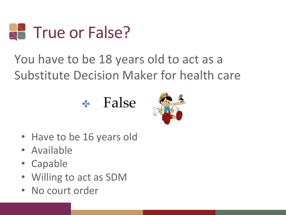

### You have to be 18 years old to act as a Substitute Decision Maker for health care





- Have to be 16 years old
- Available
- **Capable**
- Willing to act as SDM
- No court order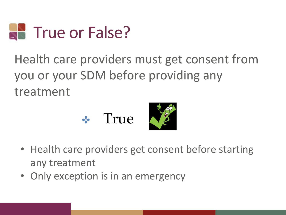

### Health care providers must get consent from you or your SDM before providing any treatment



- Health care providers get consent before starting any treatment
- Only exception is in an emergency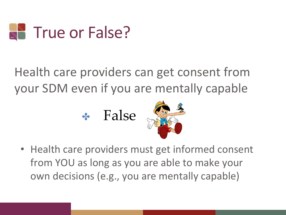

#### Health care providers can get consent from your SDM even if you are mentally capable



• Health care providers must get informed consent from YOU as long as you are able to make your own decisions (e.g., you are mentally capable)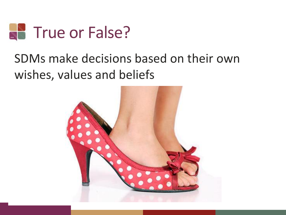

## SDMs make decisions based on their own wishes, values and beliefs

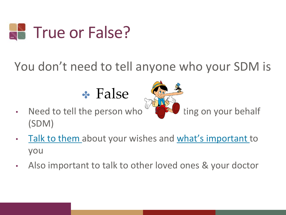

#### You don't need to tell anyone who your SDM is

## ✤ False



• Need to tell the person who  $W$  ing on your behalf

- (SDM)
- [Talk to them a](https://www.youtube.com/watch?v=NkC0KC_Nv2A)bout your wishes and [what's important](https://www.youtube.com/watch?v=Dnnu43Zt-oA) to you
- Also important to talk to other loved ones & your doctor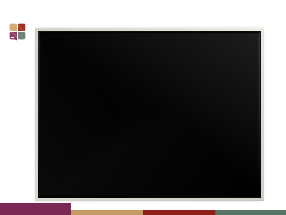

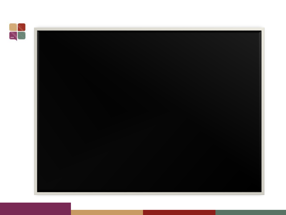

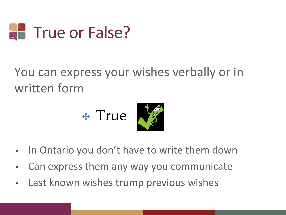

#### You can express your wishes verbally or in written form



- In Ontario you don't have to write them down
- Can express them any way you communicate
- Last known wishes trump previous wishes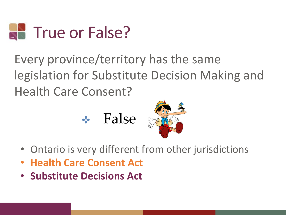

## Every province/territory has the same legislation for Substitute Decision Making and Health Care Consent?

 $\sim$ 

$$
\ast \quad \text{False} \quad \text{or} \quad
$$

- Ontario is very different from other jurisdictions
- **Health Care Consent Act**
- **Substitute Decisions Act**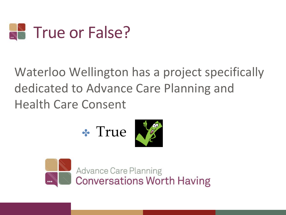

## Waterloo Wellington has a project specifically dedicated to Advance Care Planning and Health Care Consent



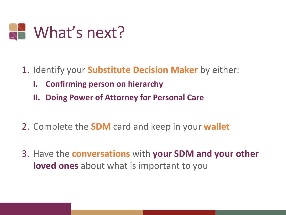

#### 1. Identify your **Substitute Decision Maker** by either:

- **I. Confirming person on hierarchy**
- **II. Doing Power of Attorney for Personal Care**
- 2. Complete the **SDM** card and keep in your **wallet**
- 3. Have the **conversations** with **your SDM and your other loved ones** about what is important to you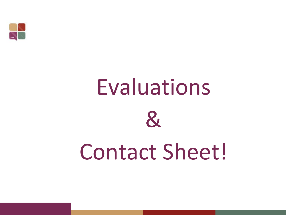

# Evaluations & Contact Sheet!